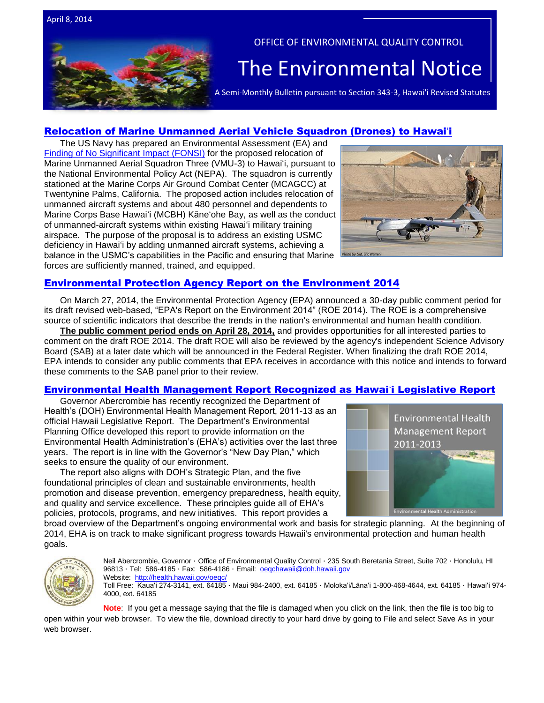April 8, 2014



## OFFICE OF ENVIRONMENTAL QUALITY CONTROL

# The Environmental Notice

A Semi-Monthly Bulletin pursuant to Section 343-3, Hawai'i Revised Statutes

## Relocation of Marine Unmanned [Aerial Vehicle Squadron \(Drones\) to Hawai](http://www.mcbhawaii.marines.mil/UnitHome/FeaturedInformation/UAV.aspx)ʻi

The US Navy has prepared an Environmental Assessment (EA) and [Finding of No Significant Impact \(FONSI\)](http://www.mcbhawaii.marines.mil/Portals/114/WebDocuments/UAV/VMU-3_Final_EA_Mar_2014.pdf) for the proposed relocation of Marine Unmanned Aerial Squadron Three (VMU-3) to Hawaiʻi, pursuant to the National Environmental Policy Act (NEPA). The squadron is currently stationed at the Marine Corps Air Ground Combat Center (MCAGCC) at Twentynine Palms, California. The proposed action includes relocation of unmanned aircraft systems and about 480 personnel and dependents to Marine Corps Base Hawaiʻi (MCBH) Kāneʻohe Bay, as well as the conduct of unmanned-aircraft systems within existing Hawaiʻi military training airspace. The purpose of the proposal is to address an existing USMC deficiency in Hawaiʻi by adding unmanned aircraft systems, achieving a balance in the USMC's capabilities in the Pacific and ensuring that Marine forces are sufficiently manned, trained, and equipped.



## [Environmental Protection Agency Report on the Environment 2014](http://cfpub.epa.gov/roe/)

On March 27, 2014, the Environmental Protection Agency (EPA) announced a 30-day public comment period for its draft revised web-based, "EPA's Report on the Environment 2014" (ROE 2014). The ROE is a comprehensive source of scientific indicators that describe the trends in the nation's environmental and human health condition.

**The public comment period ends on April 28, 2014,** and provides opportunities for all interested parties to comment on the draft ROE 2014. The draft ROE will also be reviewed by the agency's independent Science Advisory Board (SAB) at a later date which will be announced in the Federal Register. When finalizing the draft ROE 2014, EPA intends to consider any public comments that EPA receives in accordance with this notice and intends to forward these comments to the SAB panel prior to their review.

## [Environmental Health Management Report Recognized as Hawai](http://health.hawaii.gov/epo/files/2013/12/DRAFT-2011-2013-EHM-Report.pdf)ʻi Legislative Report

Governor Abercrombie has recently recognized the Department of Health's (DOH) Environmental Health Management Report, 2011-13 as an official Hawaii Legislative Report. The Department's Environmental Planning Office developed this report to provide information on the Environmental Health Administration's (EHA's) activities over the last three years. The report is in line with the Governor's "New Day Plan," which seeks to ensure the quality of our environment.

The report also aligns with DOH's Strategic Plan, and the five foundational principles of clean and sustainable environments, health promotion and disease prevention, emergency preparedness, health equity, and quality and service excellence. These principles guide all of EHA's policies, protocols, programs, and new initiatives. This report provides a



broad overview of the Department's ongoing environmental work and basis for strategic planning. At the beginning of 2014, EHA is on track to make significant progress towards Hawaii's environmental protection and human health goals.



Neil Abercrombie, Governor · Office of Environmental Quality Control · 235 South Beretania Street, Suite 702 · Honolulu, HI 96813 · Tel: 586-4185 · Fax: 586-4186 · Email: oegchawaii@doh.hawaii.gov Website: <http://health.hawaii.gov/oeqc/>

Toll Free: Kauaʻi 274-3141, ext. 64185 · Maui 984-2400, ext. 64185 · Molokaʻi/Lānaʻi 1-800-468-4644, ext. 64185 · Hawaiʻi 974- 4000, ext. 64185

**Note**: If you get a message saying that the file is damaged when you click on the link, then the file is too big to

open within your web browser. To view the file, download directly to your hard drive by going to File and select Save As in your web browser.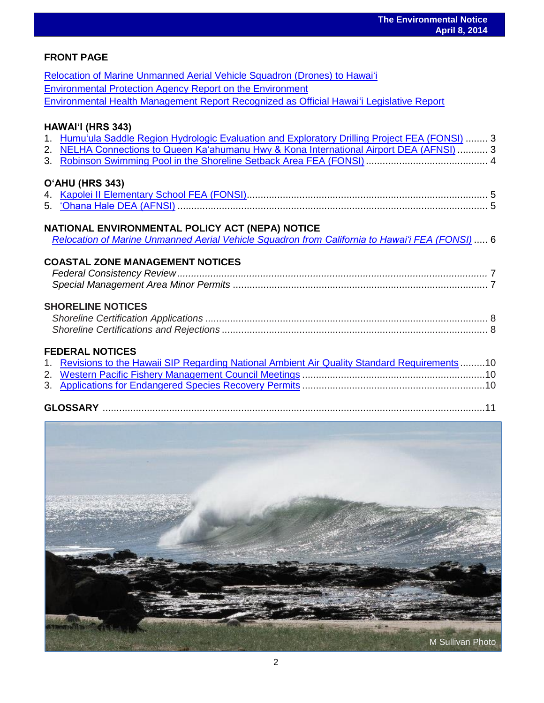## **FRONT PAGE**

| Relocation of Marine Unmanned Aerial Vehicle Squadron (Drones) to Hawai'i                                                                                                                    |  |
|----------------------------------------------------------------------------------------------------------------------------------------------------------------------------------------------|--|
| <b>Environmental Protection Agency Report on the Environment</b>                                                                                                                             |  |
| Environmental Health Management Report Recognized as Official Hawai'i Legislative Report                                                                                                     |  |
| HAWAI'I (HRS 343)                                                                                                                                                                            |  |
| 1. Humu'ula Saddle Region Hydrologic Evaluation and Exploratory Drilling Project FEA (FONSI)  3                                                                                              |  |
| 2. NELHA Connections to Queen Ka'ahumanu Hwy & Kona International Airport DEA (AFNSI)  3                                                                                                     |  |
|                                                                                                                                                                                              |  |
| O'AHU (HRS 343)                                                                                                                                                                              |  |
|                                                                                                                                                                                              |  |
|                                                                                                                                                                                              |  |
| NATIONAL ENVIRONMENTAL POLICY ACT (NEPA) NOTICE<br>Relocation of Marine Unmanned Aerial Vehicle Squadron from California to Hawai'i FEA (FONSI)  6<br><b>COASTAL ZONE MANAGEMENT NOTICES</b> |  |
|                                                                                                                                                                                              |  |
|                                                                                                                                                                                              |  |
| <b>SHORELINE NOTICES</b>                                                                                                                                                                     |  |
|                                                                                                                                                                                              |  |
| <b>FEDERAL NOTICES</b>                                                                                                                                                                       |  |
| 1. Revisions to the Hawaii SIP Regarding National Ambient Air Quality Standard Requirements10                                                                                                |  |
|                                                                                                                                                                                              |  |
|                                                                                                                                                                                              |  |
|                                                                                                                                                                                              |  |

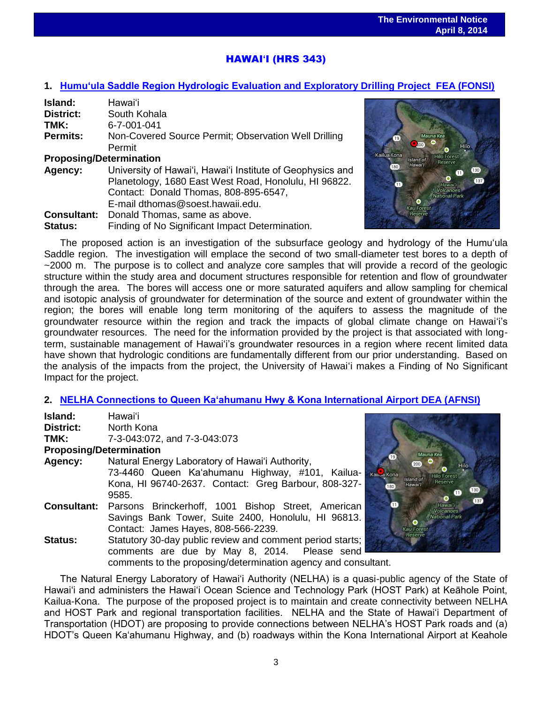## HAWAI**ʻ**I (HRS 343)

## **1. [Humu'ula Saddle Region Hydrologic Evaluation and Exploratory Drilling Project FEA \(FONSI\)](http://oeqc.doh.hawaii.gov/Shared%20Documents/EA_and_EIS_Online_Library/Hawaii/2010s/2014-04-08-HA-FEA-5B-Humuula-Saddle-Region-Hydrologic-Evaluation-and-Exploratory-Drilling-Project.pdf)**

| Island:                        | Hawaiʻi                                                    |
|--------------------------------|------------------------------------------------------------|
| District:                      | South Kohala                                               |
| TMK:                           | 6-7-001-041                                                |
| <b>Permits:</b>                | Non-Covered Source Permit; Observation Well Drilling       |
|                                | Permit                                                     |
| <b>Proposing/Determination</b> |                                                            |
| Agency:                        | University of Hawai'i, Hawai'i Institute of Geophysics and |
|                                | Planetology, 1680 East West Road, Honolulu, HI 96822.      |
|                                | Contact: Donald Thomas, 808-895-6547,                      |
|                                | E-mail dthomas@soest.hawaii.edu.                           |
| <b>Consultant:</b>             | Donald Thomas, same as above.                              |
| <b>Status:</b>                 | Finding of No Significant Impact Determination.            |



The proposed action is an investigation of the subsurface geology and hydrology of the Humuʻula Saddle region. The investigation will emplace the second of two small-diameter test bores to a depth of ~2000 m. The purpose is to collect and analyze core samples that will provide a record of the geologic structure within the study area and document structures responsible for retention and flow of groundwater through the area. The bores will access one or more saturated aquifers and allow sampling for chemical and isotopic analysis of groundwater for determination of the source and extent of groundwater within the region; the bores will enable long term monitoring of the aquifers to assess the magnitude of the groundwater resource within the region and track the impacts of global climate change on Hawaiʻi's groundwater resources. The need for the information provided by the project is that associated with longterm, sustainable management of Hawaiʻi's groundwater resources in a region where recent limited data have shown that hydrologic conditions are fundamentally different from our prior understanding. Based on the analysis of the impacts from the project, the University of Hawaiʻi makes a Finding of No Significant Impact for the project.

## **2. [NELHA Connections to Queen Kaʻahumanu Hwy & Kona International Airport DEA \(AFNSI\)](http://oeqc.doh.hawaii.gov/Shared%20Documents/EA_and_EIS_Online_Library/Hawaii/2010s/2014-04-08-HA-DEA-5B-Natural-Energy-Laboratory-of-Hawaii-Authority.pdf)**

| Island:                        | Hawai'i                                                        |                 |
|--------------------------------|----------------------------------------------------------------|-----------------|
| <b>District:</b>               | North Kona                                                     |                 |
| TMK:                           | 7-3-043:072, and 7-3-043:073                                   |                 |
| <b>Proposing/Determination</b> |                                                                |                 |
| Agency:                        | Natural Energy Laboratory of Hawai'i Authority,                |                 |
|                                | 73-4460 Queen Ka'ahumanu Highway, #101, Kailua-<br>Kahua Ko    |                 |
|                                | Kona, HI 96740-2637. Contact: Greg Barbour, 808-327-           | $\overline{18}$ |
|                                | 9585.                                                          |                 |
| <b>Consultant:</b>             | Parsons Brinckerhoff, 1001 Bishop Street, American             |                 |
|                                | Savings Bank Tower, Suite 2400, Honolulu, HI 96813.            |                 |
|                                | Contact: James Hayes, 808-566-2239.                            |                 |
| Status:                        | Statutory 30-day public review and comment period starts;      |                 |
|                                | comments are due by May 8, 2014. Please send                   |                 |
|                                | comments to the proposing/determination agency and consultant. |                 |



The Natural Energy Laboratory of Hawai'i Authority (NELHA) is a quasi-public agency of the State of Hawai'i and administers the Hawai'i Ocean Science and Technology Park (HOST Park) at Keāhole Point, Kailua-Kona. The purpose of the proposed project is to maintain and create connectivity between NELHA and HOST Park and regional transportation facilities. NELHA and the State of Hawai'i Department of Transportation (HDOT) are proposing to provide connections between NELHA's HOST Park roads and (a) HDOT's Queen Ka'ahumanu Highway, and (b) roadways within the Kona International Airport at Keahole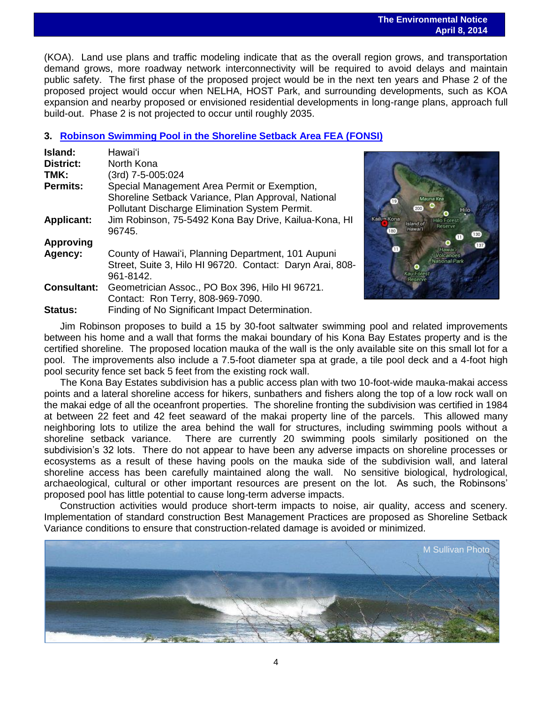#### **The Environmental Notice April 8, 2014**

 (KOA). Land use plans and traffic modeling indicate that as the overall region grows, and transportation demand grows, more roadway network interconnectivity will be required to avoid delays and maintain public safety. The first phase of the proposed project would be in the next ten years and Phase 2 of the proposed project would occur when NELHA, HOST Park, and surrounding developments, such as KOA expansion and nearby proposed or envisioned residential developments in long-range plans, approach full build-out. Phase 2 is not projected to occur until roughly 2035.

## **3. [Robinson Swimming Pool in the Shoreline Setback Area FEA \(FONSI\)](http://oeqc.doh.hawaii.gov/Shared%20Documents/EA_and_EIS_Online_Library/Hawaii/2010s/2014-04-08-HA-FEA-5E-Robinson-Swimming-Pool-in-the-Shoreline-Setback-Area.pdf)**

| Island:            | Hawai'i                                                                                                      |
|--------------------|--------------------------------------------------------------------------------------------------------------|
| <b>District:</b>   | North Kona                                                                                                   |
| TMK:               | (3rd) 7-5-005:024                                                                                            |
| <b>Permits:</b>    | Special Management Area Permit or Exemption,                                                                 |
|                    | Shoreline Setback Variance, Plan Approval, National<br><b>Pollutant Discharge Elimination System Permit.</b> |
| <b>Applicant:</b>  | Jim Robinson, 75-5492 Kona Bay Drive, Kailua-Kona, HI<br>96745.                                              |
| <b>Approving</b>   |                                                                                                              |
| Agency:            | County of Hawai'i, Planning Department, 101 Aupuni                                                           |
|                    | Street, Suite 3, Hilo HI 96720. Contact: Daryn Arai, 808-                                                    |
|                    | 961-8142.                                                                                                    |
| <b>Consultant:</b> | Geometrician Assoc., PO Box 396, Hilo HI 96721.                                                              |
|                    | Contact: Ron Terry, 808-969-7090.                                                                            |
| Status:            | Finding of No Significant Impact Determination.                                                              |



Jim Robinson proposes to build a 15 by 30-foot saltwater swimming pool and related improvements between his home and a wall that forms the makai boundary of his Kona Bay Estates property and is the certified shoreline. The proposed location mauka of the wall is the only available site on this small lot for a pool. The improvements also include a 7.5-foot diameter spa at grade, a tile pool deck and a 4-foot high pool security fence set back 5 feet from the existing rock wall.

The Kona Bay Estates subdivision has a public access plan with two 10-foot-wide mauka-makai access points and a lateral shoreline access for hikers, sunbathers and fishers along the top of a low rock wall on the makai edge of all the oceanfront properties. The shoreline fronting the subdivision was certified in 1984 at between 22 feet and 42 feet seaward of the makai property line of the parcels. This allowed many neighboring lots to utilize the area behind the wall for structures, including swimming pools without a shoreline setback variance. There are currently 20 swimming pools similarly positioned on the subdivision's 32 lots. There do not appear to have been any adverse impacts on shoreline processes or ecosystems as a result of these having pools on the mauka side of the subdivision wall, and lateral shoreline access has been carefully maintained along the wall. No sensitive biological, hydrological, archaeological, cultural or other important resources are present on the lot. As such, the Robinsons' proposed pool has little potential to cause long-term adverse impacts.

Construction activities would produce short-term impacts to noise, air quality, access and scenery. Implementation of standard construction Best Management Practices are proposed as Shoreline Setback Variance conditions to ensure that construction-related damage is avoided or minimized.

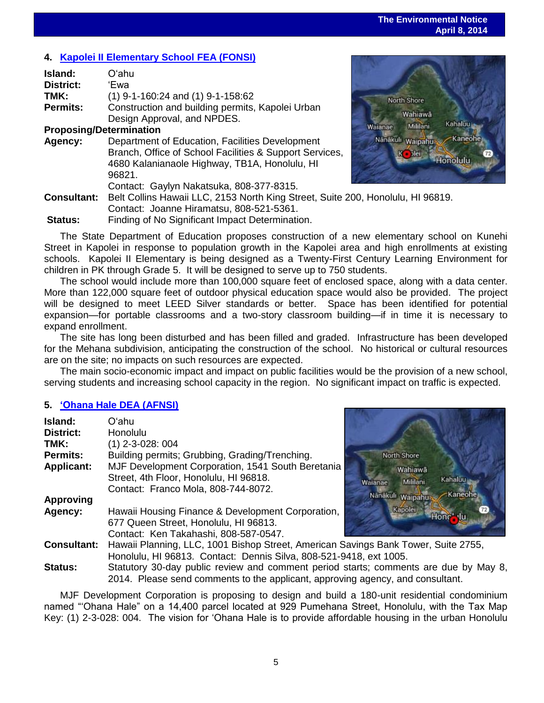## **4. [Kapolei II Elementary School](http://oeqc.doh.hawaii.gov/Shared%20Documents/EA_and_EIS_Online_Library/Oahu/2010s/2014-04-08-OA-FEA-5B-Kapolei-II-Elementary-School.pdf) FEA (FONSI)**

| Island:                        | Oʻahu                                                   |
|--------------------------------|---------------------------------------------------------|
| <b>District:</b>               | 'Ewa                                                    |
| TMK:                           | $(1)$ 9-1-160:24 and $(1)$ 9-1-158:62                   |
| <b>Permits:</b>                | Construction and building permits, Kapolei Urban        |
|                                | Design Approval, and NPDES.                             |
| <b>Proposing/Determination</b> |                                                         |
| Agency:                        | Department of Education, Facilities Development         |
|                                | Branch, Office of School Facilities & Support Services, |
|                                | 4680 Kalanianaole Highway, TB1A, Honolulu, HI           |
|                                | 96821.                                                  |
|                                | Contact: Gaylyn Nakatsuka, 808-377-8315.                |
| <b>Consultant:</b>             | Belt Collins Hawaii LLC, 2153 North King Street, Suite: |
|                                | Contact: Joanne Hiramatsu, 808-521-5361.                |
| <b>Cinturi</b>                 | Einding of No. Cignificant Impact Determination         |



200, Honolulu, HI 96819. **Status:** Finding of No Significant Impact Determination.

The State Department of Education proposes construction of a new elementary school on Kunehi Street in Kapolei in response to population growth in the Kapolei area and high enrollments at existing schools. Kapolei II Elementary is being designed as a Twenty-First Century Learning Environment for children in PK through Grade 5. It will be designed to serve up to 750 students.

The school would include more than 100,000 square feet of enclosed space, along with a data center. More than 122,000 square feet of outdoor physical education space would also be provided. The project will be designed to meet LEED Silver standards or better. Space has been identified for potential expansion—for portable classrooms and a two-story classroom building—if in time it is necessary to expand enrollment.

The site has long been disturbed and has been filled and graded. Infrastructure has been developed for the Mehana subdivision, anticipating the construction of the school. No historical or cultural resources are on the site; no impacts on such resources are expected.

The main socio-economic impact and impact on public facilities would be the provision of a new school, serving students and increasing school capacity in the region. No significant impact on traffic is expected.

## **5. ['Ohana Hale DEA \(AFNSI\)](http://oeqc.doh.hawaii.gov/Shared%20Documents/EA_and_EIS_Online_Library/Oahu/2010s/2014-04-08-OA-DEA-5E-Ohana-Hale.pdf)**

| Island:            | Oʻahu                                                                                                                               |  |
|--------------------|-------------------------------------------------------------------------------------------------------------------------------------|--|
| <b>District:</b>   | Honolulu                                                                                                                            |  |
| TMK:               | $(1)$ 2-3-028: 004                                                                                                                  |  |
| <b>Permits:</b>    | Building permits; Grubbing, Grading/Trenching.                                                                                      |  |
| <b>Applicant:</b>  | MJF Development Corporation, 1541 South Beretania<br>Street, 4th Floor, Honolulu, HI 96818.<br>Contact: Franco Mola, 808-744-8072.  |  |
| <b>Approving</b>   |                                                                                                                                     |  |
| Agency:            | Hawaii Housing Finance & Development Corporation,<br>677 Queen Street, Honolulu, HI 96813.<br>Contact: Ken Takahashi, 808-587-0547. |  |
| <b>Consultant:</b> | Hawaii Planning, LLC, 1001 Bishop Street, American Sa<br>Hanalulu HL00012, Captact: Dannie Cilve, 000 521 04                        |  |



vings Bank Tower, Suite 2755, Honolulu, HI 96813. Contact: Dennis Silva, 808-521-9418, ext 1005.

**Status:** Statutory 30-day public review and comment period starts; comments are due by May 8, 2014. Please send comments to the applicant, approving agency, and consultant.

MJF Development Corporation is proposing to design and build a 180-unit residential condominium named "'Ohana Hale" on a 14,400 parcel located at 929 Pumehana Street, Honolulu, with the Tax Map Key: (1) 2-3-028: 004. The vision for 'Ohana Hale is to provide affordable housing in the urban Honolulu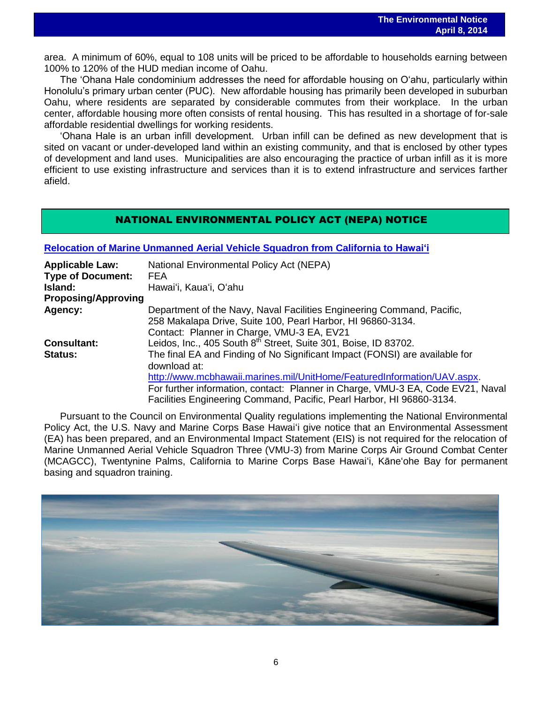area. A minimum of 60%, equal to 108 units will be priced to be affordable to households earning between 100% to 120% of the HUD median income of Oahu.

The 'Ohana Hale condominium addresses the need for affordable housing on O'ahu, particularly within Honolulu's primary urban center (PUC). New affordable housing has primarily been developed in suburban Oahu, where residents are separated by considerable commutes from their workplace. In the urban center, affordable housing more often consists of rental housing. This has resulted in a shortage of for-sale affordable residential dwellings for working residents.

'Ohana Hale is an urban infill development. Urban infill can be defined as new development that is sited on vacant or under-developed land within an existing community, and that is enclosed by other types of development and land uses. Municipalities are also encouraging the practice of urban infill as it is more efficient to use existing infrastructure and services than it is to extend infrastructure and services farther afield.

## NATIONAL ENVIRONMENTAL POLICY ACT (NEPA) NOTICE

**Relocation of [Marine Unmanned Aerial Vehicle Squadron from](http://oeqc.doh.hawaii.gov/Shared%20Documents/EA_and_EIS_Online_Library/NEPA%20and%20Other%20Documents/2014-04-08-NEPA-FEA-Relocation-of-Unmanned-Aerial-Vehicle-Squadron-from-California-to-Hawaii.pdf) California to Hawai'i**

| <b>Applicable Law:</b>     | <b>National Environmental Policy Act (NEPA)</b>                                 |
|----------------------------|---------------------------------------------------------------------------------|
| <b>Type of Document:</b>   | FEA                                                                             |
| Island:                    | Hawai'i, Kaua'i, O'ahu                                                          |
| <b>Proposing/Approving</b> |                                                                                 |
| Agency:                    | Department of the Navy, Naval Facilities Engineering Command, Pacific,          |
|                            | 258 Makalapa Drive, Suite 100, Pearl Harbor, HI 96860-3134.                     |
|                            | Contact: Planner in Charge, VMU-3 EA, EV21                                      |
| <b>Consultant:</b>         | Leidos, Inc., 405 South 8 <sup>th</sup> Street, Suite 301, Boise, ID 83702.     |
| <b>Status:</b>             | The final EA and Finding of No Significant Impact (FONSI) are available for     |
|                            | download at:                                                                    |
|                            | http://www.mcbhawaii.marines.mil/UnitHome/FeaturedInformation/UAV.aspx.         |
|                            | For further information, contact: Planner in Charge, VMU-3 EA, Code EV21, Naval |
|                            | Facilities Engineering Command, Pacific, Pearl Harbor, HI 96860-3134.           |

Pursuant to the Council on Environmental Quality regulations implementing the National Environmental Policy Act, the U.S. Navy and Marine Corps Base Hawaiʻi give notice that an Environmental Assessment (EA) has been prepared, and an Environmental Impact Statement (EIS) is not required for the relocation of Marine Unmanned Aerial Vehicle Squadron Three (VMU-3) from Marine Corps Air Ground Combat Center (MCAGCC), Twentynine Palms, California to Marine Corps Base Hawaiʻi, Kāneʻohe Bay for permanent basing and squadron training.

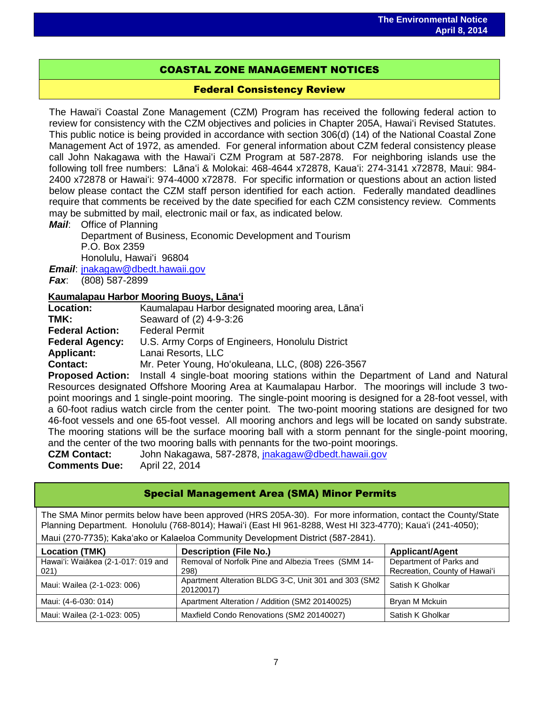## COASTAL ZONE MANAGEMENT NOTICES

## Federal Consistency Review

The Hawaiʻi Coastal Zone Management (CZM) Program has received the following federal action to review for consistency with the CZM objectives and policies in Chapter 205A, Hawaiʻi Revised Statutes. This public notice is being provided in accordance with section 306(d) (14) of the National Coastal Zone Management Act of 1972, as amended. For general information about CZM federal consistency please call John Nakagawa with the Hawaiʻi CZM Program at 587-2878. For neighboring islands use the following toll free numbers: Lānaʻi & Molokai: 468-4644 x72878, Kauaʻi: 274-3141 x72878, Maui: 984- 2400 x72878 or Hawaiʻi: 974-4000 x72878. For specific information or questions about an action listed below please contact the CZM staff person identified for each action. Federally mandated deadlines require that comments be received by the date specified for each CZM consistency review. Comments may be submitted by mail, electronic mail or fax, as indicated below.

## *Mail*: Office of Planning

Department of Business, Economic Development and Tourism P.O. Box 2359 Honolulu, Hawaiʻi 96804

*Email*: [jnakagaw@dbedt.hawaii.gov](mailto:jnakagaw@dbedt.hawaii.gov)

*Fax*: (808) 587-2899

## **Kaumalapau Harbor Mooring Buoys, Lānaʻi**

| <b>Location:</b>       | Kaumalapau Harbor designated mooring area, Lāna'i       |
|------------------------|---------------------------------------------------------|
| TMK:                   | Seaward of (2) 4-9-3:26                                 |
| <b>Federal Action:</b> | <b>Federal Permit</b>                                   |
| <b>Federal Agency:</b> | U.S. Army Corps of Engineers, Honolulu District         |
| <b>Applicant:</b>      | Lanai Resorts, LLC                                      |
| Contact:               | Mr. Peter Young, Ho'okuleana, LLC, (808) 226-3567       |
| Pronosed Action.       | Install 4 single-hoat mooring stations within the Denar |

**Proposed Action:** Install 4 single-boat mooring stations within the Department of Land and Natural Resources designated Offshore Mooring Area at Kaumalapau Harbor. The moorings will include 3 twopoint moorings and 1 single-point mooring. The single-point mooring is designed for a 28-foot vessel, with a 60-foot radius watch circle from the center point. The two-point mooring stations are designed for two 46-foot vessels and one 65-foot vessel. All mooring anchors and legs will be located on sandy substrate. The mooring stations will be the surface mooring ball with a storm pennant for the single-point mooring, and the center of the two mooring balls with pennants for the two-point moorings.

**CZM Contact:** John Nakagawa, 587-2878, [jnakagaw@dbedt.hawaii.gov](mailto:jnakagaw@dbedt.hawaii.gov) **Comments Due:** April 22, 2014

| <b>Special Management Area (SMA) Minor Permits</b>                                                                                                                                                                         |                                                                                  |                                                          |  |  |  |
|----------------------------------------------------------------------------------------------------------------------------------------------------------------------------------------------------------------------------|----------------------------------------------------------------------------------|----------------------------------------------------------|--|--|--|
| The SMA Minor permits below have been approved (HRS 205A-30). For more information, contact the County/State<br>Planning Department. Honolulu (768-8014); Hawai'i (East HI 961-8288, West HI 323-4770); Kaua'i (241-4050); |                                                                                  |                                                          |  |  |  |
|                                                                                                                                                                                                                            | Maui (270-7735); Kaka'ako or Kalaeloa Community Development District (587-2841). |                                                          |  |  |  |
| <b>Applicant/Agent</b><br><b>Location (TMK)</b><br><b>Description (File No.)</b>                                                                                                                                           |                                                                                  |                                                          |  |  |  |
| Hawai'i: Waiākea (2-1-017: 019 and<br>021)                                                                                                                                                                                 | Removal of Norfolk Pine and Albezia Trees (SMM 14-<br>298)                       | Department of Parks and<br>Recreation, County of Hawai'i |  |  |  |
| Maui: Wailea (2-1-023: 006)                                                                                                                                                                                                | Apartment Alteration BLDG 3-C, Unit 301 and 303 (SM2<br>20120017)                | Satish K Gholkar                                         |  |  |  |
| Maui: (4-6-030: 014)                                                                                                                                                                                                       | Apartment Alteration / Addition (SM2 20140025)                                   | Bryan M Mckuin                                           |  |  |  |
| Maui: Wailea (2-1-023: 005)                                                                                                                                                                                                | Maxfield Condo Renovations (SM2 20140027)                                        | Satish K Gholkar                                         |  |  |  |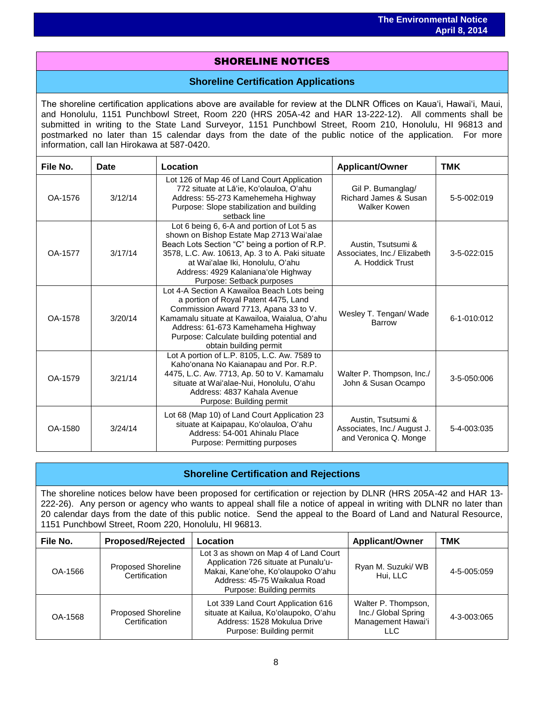## SHORELINE NOTICES

## **Shoreline Certification Applications**

The shoreline certification applications above are available for review at the DLNR Offices on Kauaʻi, Hawaiʻi, Maui, and Honolulu, 1151 Punchbowl Street, Room 220 (HRS 205A-42 and HAR 13-222-12). All comments shall be submitted in writing to the State Land Surveyor, 1151 Punchbowl Street, Room 210, Honolulu, HI 96813 and postmarked no later than 15 calendar days from the date of the public notice of the application. For more information, call Ian Hirokawa at 587-0420.

| File No.<br>Date |         | Location                                                                                                                                                                                                                                                                                           | <b>Applicant/Owner</b>                                                     | <b>TMK</b>  |
|------------------|---------|----------------------------------------------------------------------------------------------------------------------------------------------------------------------------------------------------------------------------------------------------------------------------------------------------|----------------------------------------------------------------------------|-------------|
| OA-1576          | 3/12/14 | Lot 126 of Map 46 of Land Court Application<br>772 situate at Lā'ie, Ko'olauloa, O'ahu<br>Address: 55-273 Kamehemeha Highway<br>Purpose: Slope stabilization and building<br>setback line                                                                                                          | Gil P. Bumanglag/<br>Richard James & Susan<br>Walker Kowen                 | 5-5-002:019 |
| OA-1577          | 3/17/14 | Lot 6 being 6, 6-A and portion of Lot 5 as<br>shown on Bishop Estate Map 2713 Wai'alae<br>Beach Lots Section "C" being a portion of R.P.<br>3578, L.C. Aw. 10613, Ap. 3 to A. Paki situate<br>at Wai'alae Iki, Honolulu, O'ahu<br>Address: 4929 Kalaniana'ole Highway<br>Purpose: Setback purposes | Austin, Tsutsumi &<br>Associates, Inc./ Elizabeth<br>A. Hoddick Trust      | 3-5-022:015 |
| OA-1578          | 3/20/14 | Lot 4-A Section A Kawailoa Beach Lots being<br>a portion of Royal Patent 4475, Land<br>Commission Award 7713, Apana 33 to V.<br>Kamamalu situate at Kawailoa, Waialua, O'ahu<br>Address: 61-673 Kamehameha Highway<br>Purpose: Calculate building potential and<br>obtain building permit          | Wesley T. Tengan/ Wade<br>Barrow                                           | 6-1-010:012 |
| OA-1579          | 3/21/14 | Lot A portion of L.P. 8105, L.C. Aw. 7589 to<br>Kaho'onana No Kaianapau and Por. R.P.<br>4475, L.C. Aw. 7713, Ap. 50 to V. Kamamalu<br>situate at Wai'alae-Nui, Honolulu, O'ahu<br>Address: 4837 Kahala Avenue<br>Purpose: Building permit                                                         | Walter P. Thompson, Inc./<br>John & Susan Ocampo                           | 3-5-050:006 |
| OA-1580          | 3/24/14 | Lot 68 (Map 10) of Land Court Application 23<br>situate at Kaipapau, Ko'olauloa, O'ahu<br>Address: 54-001 Ahinalu Place<br>Purpose: Permitting purposes                                                                                                                                            | Austin, Tsutsumi &<br>Associates, Inc./ August J.<br>and Veronica Q. Monge | 5-4-003:035 |

## **Shoreline Certification and Rejections**

The shoreline notices below have been proposed for certification or rejection by DLNR (HRS 205A-42 and HAR 13- 222-26). Any person or agency who wants to appeal shall file a notice of appeal in writing with DLNR no later than 20 calendar days from the date of this public notice. Send the appeal to the Board of Land and Natural Resource, 1151 Punchbowl Street, Room 220, Honolulu, HI 96813.

| File No. | <b>Proposed/Rejected</b>                   | Location                                                                                                                                                                         | <b>Applicant/Owner</b>                                                  | TMK         |
|----------|--------------------------------------------|----------------------------------------------------------------------------------------------------------------------------------------------------------------------------------|-------------------------------------------------------------------------|-------------|
| OA-1566  | <b>Proposed Shoreline</b><br>Certification | Lot 3 as shown on Map 4 of Land Court<br>Application 726 situate at Punalu'u-<br>Makai, Kane'ohe, Ko'olaupoko O'ahu<br>Address: 45-75 Waikalua Road<br>Purpose: Building permits | Ryan M. Suzuki/ WB<br>Hui, LLC                                          | 4-5-005:059 |
| OA-1568  | <b>Proposed Shoreline</b><br>Certification | Lot 339 Land Court Application 616<br>situate at Kailua, Ko'olaupoko, O'ahu<br>Address: 1528 Mokulua Drive<br>Purpose: Building permit                                           | Walter P. Thompson,<br>Inc./ Global Spring<br>Management Hawai'i<br>LLC | 4-3-003:065 |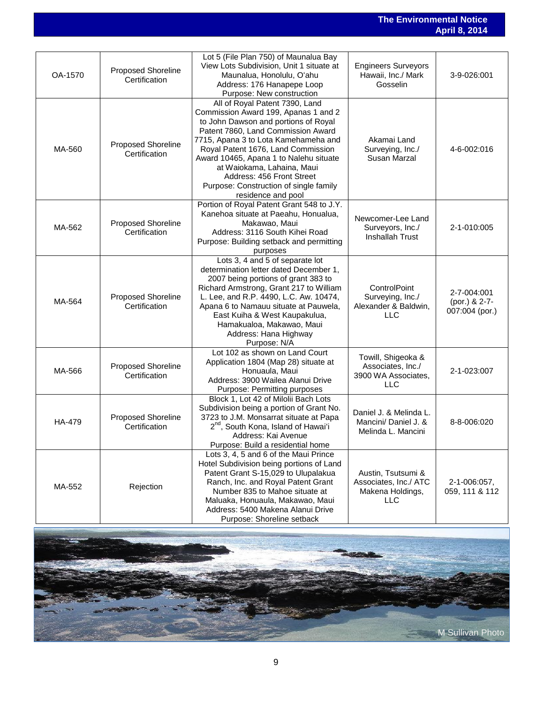### **The Environmental Notice April 8, 2014**

| OA-1570 | Proposed Shoreline<br>Certification | Lot 5 (File Plan 750) of Maunalua Bay<br>View Lots Subdivision, Unit 1 situate at<br>Maunalua, Honolulu, O'ahu<br>Address: 176 Hanapepe Loop<br>Purpose: New construction                                                                                                                                                                                                                               | <b>Engineers Surveyors</b><br>Hawaii, Inc./ Mark<br>Gosselin                  | 3-9-026:001                                    |
|---------|-------------------------------------|---------------------------------------------------------------------------------------------------------------------------------------------------------------------------------------------------------------------------------------------------------------------------------------------------------------------------------------------------------------------------------------------------------|-------------------------------------------------------------------------------|------------------------------------------------|
| MA-560  | Proposed Shoreline<br>Certification | All of Royal Patent 7390, Land<br>Commission Award 199, Apanas 1 and 2<br>to John Dawson and portions of Royal<br>Patent 7860, Land Commission Award<br>7715, Apana 3 to Lota Kamehameha and<br>Royal Patent 1676, Land Commission<br>Award 10465, Apana 1 to Nalehu situate<br>at Waiokama, Lahaina, Maui<br>Address: 456 Front Street<br>Purpose: Construction of single family<br>residence and pool | Akamai Land<br>Surveying, Inc./<br>Susan Marzal                               | 4-6-002:016                                    |
| MA-562  | Proposed Shoreline<br>Certification | Portion of Royal Patent Grant 548 to J.Y.<br>Kanehoa situate at Paeahu, Honualua,<br>Makawao, Maui<br>Address: 3116 South Kihei Road<br>Purpose: Building setback and permitting<br>purposes                                                                                                                                                                                                            | Newcomer-Lee Land<br>Surveyors, Inc./<br><b>Inshallah Trust</b>               | 2-1-010:005                                    |
| MA-564  | Proposed Shoreline<br>Certification | Lots 3, 4 and 5 of separate lot<br>determination letter dated December 1,<br>2007 being portions of grant 383 to<br>Richard Armstrong, Grant 217 to William<br>L. Lee, and R.P. 4490, L.C. Aw. 10474,<br>Apana 6 to Namauu situate at Pauwela,<br>East Kuiha & West Kaupakulua,<br>Hamakualoa, Makawao, Maui<br>Address: Hana Highway<br>Purpose: N/A                                                   | ControlPoint<br>Surveying, Inc./<br>Alexander & Baldwin,<br>LLC               | 2-7-004:001<br>(por.) & 2-7-<br>007:004 (por.) |
| MA-566  | Proposed Shoreline<br>Certification | Lot 102 as shown on Land Court<br>Application 1804 (Map 28) situate at<br>Honuaula, Maui<br>Address: 3900 Wailea Alanui Drive<br>Purpose: Permitting purposes                                                                                                                                                                                                                                           | Towill, Shigeoka &<br>Associates, Inc./<br>3900 WA Associates,<br>LLC         | 2-1-023:007                                    |
| HA-479  | Proposed Shoreline<br>Certification | Block 1, Lot 42 of Milolii Bach Lots<br>Subdivision being a portion of Grant No.<br>3723 to J.M. Monsarrat situate at Papa<br>2 <sup>nd</sup> , South Kona, Island of Hawai'i<br>Address: Kai Avenue<br>Purpose: Build a residential home                                                                                                                                                               | Daniel J. & Melinda L.<br>Mancini/ Daniel J. &<br>Melinda L. Mancini          | 8-8-006:020                                    |
| MA-552  | Rejection                           | Lots 3, 4, 5 and 6 of the Maui Prince<br>Hotel Subdivision being portions of Land<br>Patent Grant S-15,029 to Ulupalakua<br>Ranch, Inc. and Royal Patent Grant<br>Number 835 to Mahoe situate at<br>Maluaka, Honuaula, Makawao, Maui<br>Address: 5400 Makena Alanui Drive<br>Purpose: Shoreline setback                                                                                                 | Austin, Tsutsumi &<br>Associates, Inc./ ATC<br>Makena Holdings,<br><b>LLC</b> | 2-1-006:057,<br>059, 111 & 112                 |

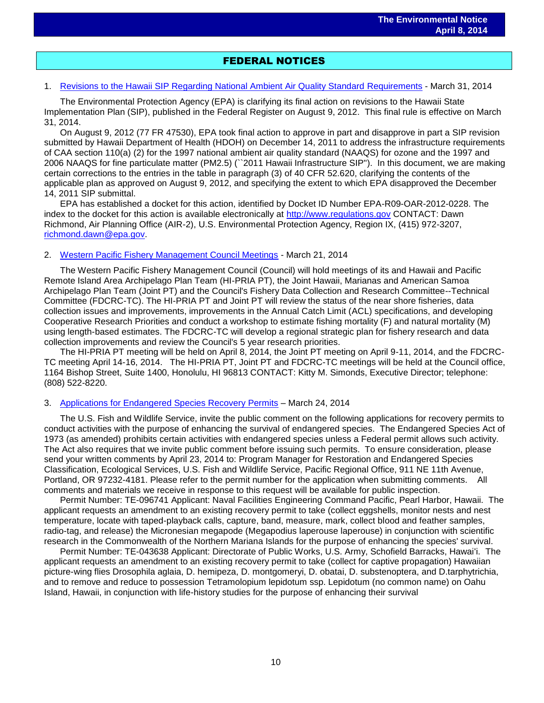## FEDERAL NOTICES

#### 1. [Revisions to the Hawaii SIP Regarding National Ambient Air Quality Standard Requirements](http://www.gpo.gov/fdsys/pkg/FR-2014-03-31/pdf/2014-05526.pdf) - March 31, 2014

The Environmental Protection Agency (EPA) is clarifying its final action on revisions to the Hawaii State Implementation Plan (SIP), published in the Federal Register on August 9, 2012. This final rule is effective on March 31, 2014.

On August 9, 2012 (77 FR 47530), EPA took final action to approve in part and disapprove in part a SIP revision submitted by Hawaii Department of Health (HDOH) on December 14, 2011 to address the infrastructure requirements of CAA section 110(a) (2) for the 1997 national ambient air quality standard (NAAQS) for ozone and the 1997 and 2006 NAAQS for fine particulate matter (PM2.5) (``2011 Hawaii Infrastructure SIP''). In this document, we are making certain corrections to the entries in the table in paragraph (3) of 40 CFR 52.620, clarifying the contents of the applicable plan as approved on August 9, 2012, and specifying the extent to which EPA disapproved the December 14, 2011 SIP submittal.

EPA has established a docket for this action, identified by Docket ID Number EPA-R09-OAR-2012-0228. The index to the docket for this action is available electronically at [http://www.regulations.gov](http://www.regulations.gov/) CONTACT: Dawn Richmond, Air Planning Office (AIR-2), U.S. Environmental Protection Agency, Region IX, (415) 972-3207, [richmond.dawn@epa.gov.](mailto:richmond.dawn@epa.gov)

#### 2. [Western Pacific Fishery Management Council Meetings](http://www.gpo.gov/fdsys/pkg/FR-2014-03-21/html/2014-06170.htm) - March 21, 2014

The Western Pacific Fishery Management Council (Council) will hold meetings of its and Hawaii and Pacific Remote Island Area Archipelago Plan Team (HI-PRIA PT), the Joint Hawaii, Marianas and American Samoa Archipelago Plan Team (Joint PT) and the Council's Fishery Data Collection and Research Committee--Technical Committee (FDCRC-TC). The HI-PRIA PT and Joint PT will review the status of the near shore fisheries, data collection issues and improvements, improvements in the Annual Catch Limit (ACL) specifications, and developing Cooperative Research Priorities and conduct a workshop to estimate fishing mortality (F) and natural mortality (M) using length-based estimates. The FDCRC-TC will develop a regional strategic plan for fishery research and data collection improvements and review the Council's 5 year research priorities.

The HI-PRIA PT meeting will be held on April 8, 2014, the Joint PT meeting on April 9-11, 2014, and the FDCRC-TC meeting April 14-16, 2014. The HI-PRIA PT, Joint PT and FDCRC-TC meetings will be held at the Council office, 1164 Bishop Street, Suite 1400, Honolulu, HI 96813 CONTACT: Kitty M. Simonds, Executive Director; telephone: (808) 522-8220.

#### 3. [Applications for Endangered Species Recovery Permits](http://www.gpo.gov/fdsys/pkg/FR-2014-03-21/html/2014-06170.htm) – March 24, 2014

The U.S. Fish and Wildlife Service, invite the public comment on the following applications for recovery permits to conduct activities with the purpose of enhancing the survival of endangered species. The Endangered Species Act of 1973 (as amended) prohibits certain activities with endangered species unless a Federal permit allows such activity. The Act also requires that we invite public comment before issuing such permits. To ensure consideration, please send your written comments by April 23, 2014 to: Program Manager for Restoration and Endangered Species Classification, Ecological Services, U.S. Fish and Wildlife Service, Pacific Regional Office, 911 NE 11th Avenue, Portland, OR 97232-4181. Please refer to the permit number for the application when submitting comments. All comments and materials we receive in response to this request will be available for public inspection.

Permit Number: TE-096741 Applicant: Naval Facilities Engineering Command Pacific, Pearl Harbor, Hawaii. The applicant requests an amendment to an existing recovery permit to take (collect eggshells, monitor nests and nest temperature, locate with taped-playback calls, capture, band, measure, mark, collect blood and feather samples, radio-tag, and release) the Micronesian megapode (Megapodius laperouse laperouse) in conjunction with scientific research in the Commonwealth of the Northern Mariana Islands for the purpose of enhancing the species' survival.

Permit Number: TE-043638 Applicant: Directorate of Public Works, U.S. Army, Schofield Barracks, Hawai'i. The applicant requests an amendment to an existing recovery permit to take (collect for captive propagation) Hawaiian picture-wing flies Drosophila aglaia, D. hemipeza, D. montgomeryi, D. obatai, D. substenoptera, and D.tarphytrichia, and to remove and reduce to possession Tetramolopium lepidotum ssp. Lepidotum (no common name) on Oahu Island, Hawaii, in conjunction with life-history studies for the purpose of enhancing their survival